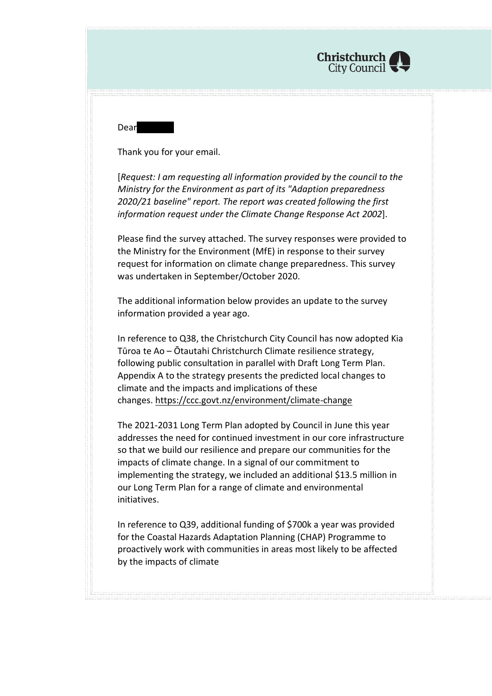

**Dear** 

Thank you for your email.

[*Request: I am requesting all information provided by the council to the Ministry for the Environment as part of its "Adaption preparedness 2020/21 baseline" report. The report was created following the first information request under the Climate Change Response Act 2002*].

Please find the survey attached. The survey responses were provided to the Ministry for the Environment (MfE) in response to their survey request for information on climate change preparedness. This survey was undertaken in September/October 2020.

The additional information below provides an update to the survey information provided a year ago.

In reference to Q38, the Christchurch City Council has now adopted Kia Tūroa te Ao – Ōtautahi Christchurch Climate resilience strategy, following public consultation in parallel with Draft Long Term Plan. Appendix A to the strategy presents the predicted local changes to climate and the impacts and implications of these changes. <https://ccc.govt.nz/environment/climate-change>

The 2021-2031 Long Term Plan adopted by Council in June this year addresses the need for continued investment in our core infrastructure so that we build our resilience and prepare our communities for the impacts of climate change. In a signal of our commitment to implementing the strategy, we included an additional \$13.5 million in our Long Term Plan for a range of climate and environmental initiatives.

In reference to Q39, additional funding of \$700k a year was provided for the Coastal Hazards Adaptation Planning (CHAP) Programme to proactively work with communities in areas most likely to be affected by the impacts of climate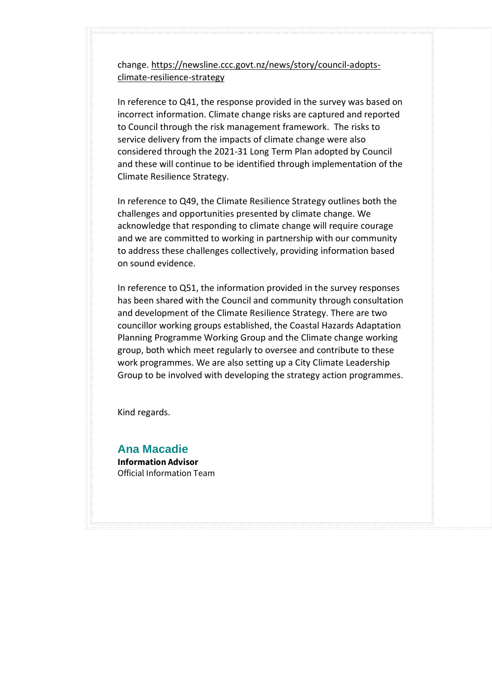change. [https://newsline.ccc.govt.nz/news/story/council-adopts](https://newsline.ccc.govt.nz/news/story/council-adopts-climate-resilience-strategy)[climate-resilience-strategy](https://newsline.ccc.govt.nz/news/story/council-adopts-climate-resilience-strategy)

In reference to Q41, the response provided in the survey was based on incorrect information. Climate change risks are captured and reported to Council through the risk management framework. The risks to service delivery from the impacts of climate change were also considered through the 2021-31 Long Term Plan adopted by Council and these will continue to be identified through implementation of the Climate Resilience Strategy.

In reference to Q49, the Climate Resilience Strategy outlines both the challenges and opportunities presented by climate change. We acknowledge that responding to climate change will require courage and we are committed to working in partnership with our community to address these challenges collectively, providing information based on sound evidence.

In reference to Q51, the information provided in the survey responses has been shared with the Council and community through consultation and development of the Climate Resilience Strategy. There are two councillor working groups established, the Coastal Hazards Adaptation Planning Programme Working Group and the Climate change working group, both which meet regularly to oversee and contribute to these work programmes. We are also setting up a City Climate Leadership Group to be involved with developing the strategy action programmes.

Kind regards.

**Ana Macadie Information Advisor** Official Information Team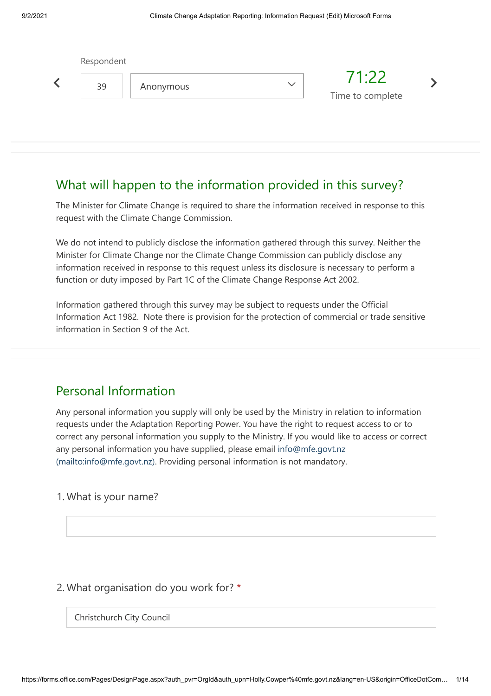| Respondent |           |              |                           |  |  |
|------------|-----------|--------------|---------------------------|--|--|
| 39         | Anonymous | $\checkmark$ | 71:22<br>Time to complete |  |  |
|            |           |              |                           |  |  |

# What will happen to the information provided in this survey?

The Minister for Climate Change is required to share the information received in response to this request with the Climate Change Commission.

We do not intend to publicly disclose the information gathered through this survey. Neither the Minister for Climate Change nor the Climate Change Commission can publicly disclose any information received in response to this request unless its disclosure is necessary to perform a function or duty imposed by Part 1C of the Climate Change Response Act 2002.

Information gathered through this survey may be subject to requests under the Official Information Act 1982. Note there is provision for the protection of commercial or trade sensitive information in Section 9 of the Act.

# Personal Information

Any personal information you supply will only be used by the Ministry in relation to information requests under the Adaptation Reporting Power. You have the right to request access to or to correct any personal information you supply to the Ministry. If you would like to access or correct any personal information you have supplied, please email info@mfe.govt.nz [\(mailto:info@mfe.govt.nz\). Providing personal information is not mandatory.](mailto:info@mfe.govt.nz) 

#### 1. What is your name?

### 2. What organisation do you work for? \*

Christchurch City Council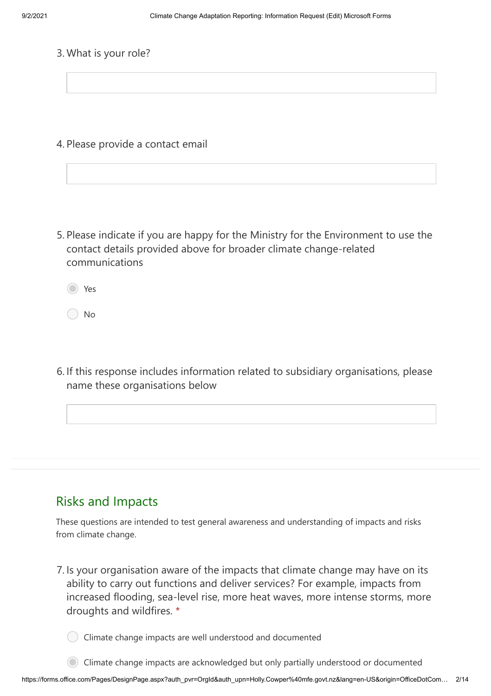3. What is your role?

4. Please provide a contact email

5. Please indicate if you are happy for the Ministry for the Environment to use the contact details provided above for broader climate change-related communications

Yes

No

6. If this response includes information related to subsidiary organisations, please name these organisations below

### Risks and Impacts

These questions are intended to test general awareness and understanding of impacts and risks from climate change.

7. Is your organisation aware of the impacts that climate change may have on its ability to carry out functions and deliver services? For example, impacts from increased flooding, sea-level rise, more heat waves, more intense storms, more droughts and wildfires. \*

Climate change impacts are well understood and documented

Climate change impacts are acknowledged but only partially understood or documented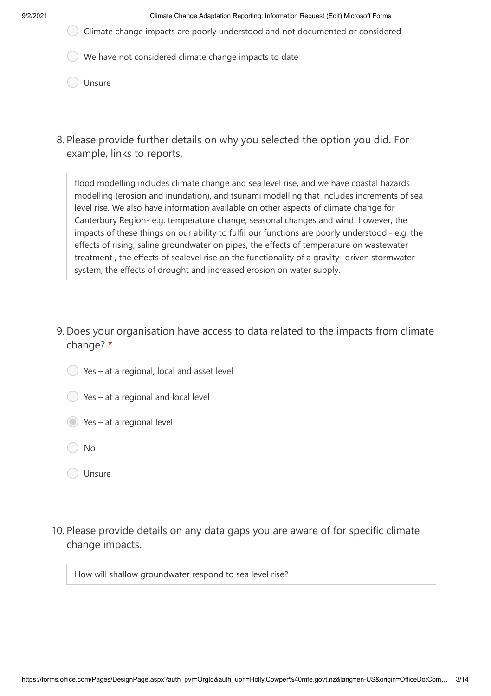9/2/2021 Climate Change Adaptation Reporting: Information Request (Edit) Microsoft Forms

- Climate change impacts are poorly understood and not documented or considered
- We have not considered climate change impacts to date
- O Unsure
- Please provide further details on why you selected the option you did. For 8. example, links to reports.

flood modelling includes climate change and sea level rise, and we have coastal hazards modelling (erosion and inundation), and tsunami modelling that includes increments of sea level rise. We also have information available on other aspects of climate change for Canterbury Region- e.g. temperature change, seasonal changes and wind. however, the impacts of these things on our ability to fulfil our functions are poorly understood.- e.g. the effects of rising, saline groundwater on pipes, the effects of temperature on wastewater treatment , the effects of sealevel rise on the functionality of a gravity- driven stormwater system, the effects of drought and increased erosion on water supply.

- 9. Does your organisation have access to data related to the impacts from climate change? \*
	- $\bigcirc$  Yes at a regional, local and asset level
	- $\bigcirc$  Yes at a regional and local level
	- Yes at a regional level
	- No
	- O Unsure
- 10. Please provide details on any data gaps you are aware of for specific climate change impacts.

How will shallow groundwater respond to sea level rise?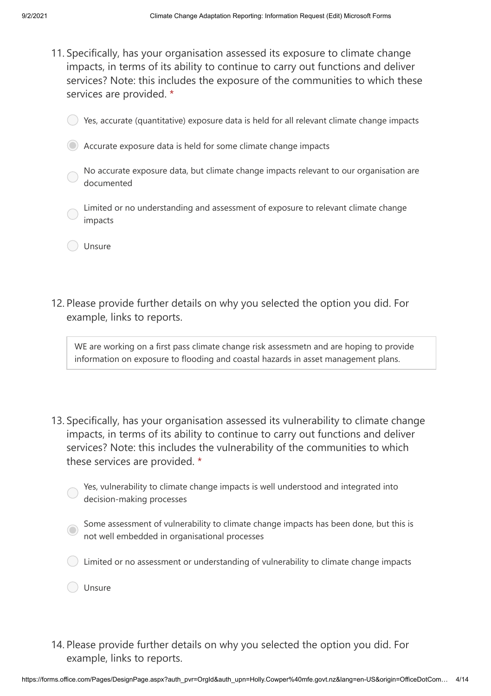- 11. Specifically, has your organisation assessed its exposure to climate change impacts, in terms of its ability to continue to carry out functions and deliver services? Note: this includes the exposure of the communities to which these services are provided. \*
	- Yes, accurate (quantitative) exposure data is held for all relevant climate change impacts
	- Accurate exposure data is held for some climate change impacts
		- No accurate exposure data, but climate change impacts relevant to our organisation are documented
		- Limited or no understanding and assessment of exposure to relevant climate change impacts
		- Unsure
- 12. Please provide further details on why you selected the option you did. For example, links to reports.

WE are working on a first pass climate change risk assessmetn and are hoping to provide information on exposure to flooding and coastal hazards in asset management plans.

13. Specifically, has your organisation assessed its vulnerability to climate change impacts, in terms of its ability to continue to carry out functions and deliver services? Note: this includes the vulnerability of the communities to which these services are provided. \*

Yes, vulnerability to climate change impacts is well understood and integrated into decision-making processes

- Some assessment of vulnerability to climate change impacts has been done, but this is not well embedded in organisational processes
- Limited or no assessment or understanding of vulnerability to climate change impacts

Unsure

14. Please provide further details on why you selected the option you did. For example, links to reports.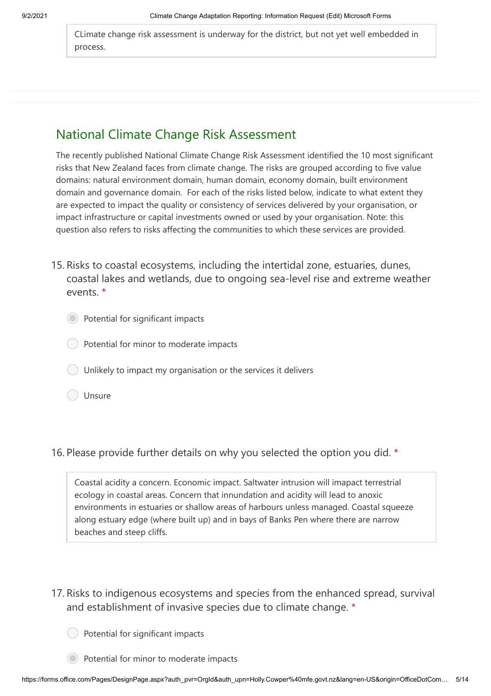CLimate change risk assessment is underway for the district, but not yet well embedded in process.

## National Climate Change Risk Assessment

The recently published National Climate Change Risk Assessment identified the 10 most significant risks that New Zealand faces from climate change. The risks are grouped according to five value domains: natural environment domain, human domain, economy domain, built environment domain and governance domain. For each of the risks listed below, indicate to what extent they are expected to impact the quality or consistency of services delivered by your organisation, or impact infrastructure or capital investments owned or used by your organisation. Note: this question also refers to risks affecting the communities to which these services are provided.

- 15. Risks to coastal ecosystems, including the intertidal zone, estuaries, dunes, coastal lakes and wetlands, due to ongoing sea-level rise and extreme weather events. \*
	- Potential for significant impacts
	- Potential for minor to moderate impacts
	- Unlikely to impact my organisation or the services it delivers
	- Unsure

### 16. Please provide further details on why you selected the option you did. \*

Coastal acidity a concern. Economic impact. Saltwater intrusion will imapact terrestrial ecology in coastal areas. Concern that innundation and acidity will lead to anoxic environments in estuaries or shallow areas of harbours unless managed. Coastal squeeze along estuary edge (where built up) and in bays of Banks Pen where there are narrow beaches and steep cliffs.

- 17. Risks to indigenous ecosystems and species from the enhanced spread, survival and establishment of invasive species due to climate change. \*
	- Potential for significant impacts
	- Potential for minor to moderate impacts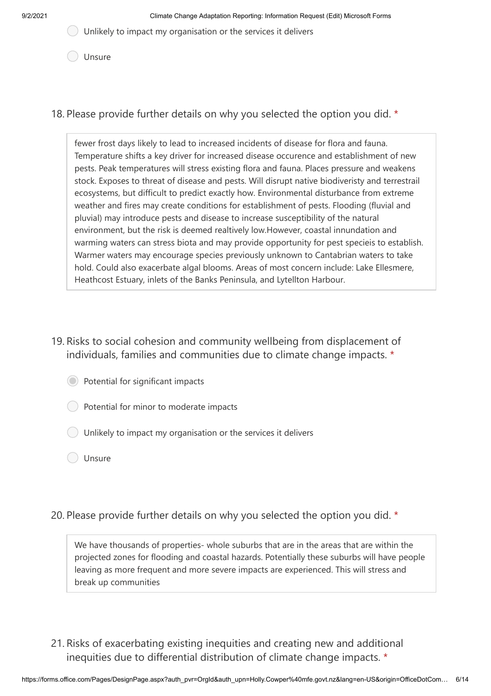$\bigcirc$  Unlikely to impact my organisation or the services it delivers

Unsure

18. Please provide further details on why you selected the option you did. \*

fewer frost days likely to lead to increased incidents of disease for flora and fauna. Temperature shifts a key driver for increased disease occurence and establishment of new pests. Peak temperatures will stress existing flora and fauna. Places pressure and weakens stock. Exposes to threat of disease and pests. Will disrupt native biodiveristy and terrestrail ecosystems, but difficult to predict exactly how. Environmental disturbance from extreme weather and fires may create conditions for establishment of pests. Flooding (fluvial and pluvial) may introduce pests and disease to increase susceptibility of the natural environment, but the risk is deemed realtively low.However, coastal innundation and warming waters can stress biota and may provide opportunity for pest specieis to establish. Warmer waters may encourage species previously unknown to Cantabrian waters to take hold. Could also exacerbate algal blooms. Areas of most concern include: Lake Ellesmere, Heathcost Estuary, inlets of the Banks Peninsula, and Lytellton Harbour.

- 19. Risks to social cohesion and community wellbeing from displacement of individuals, families and communities due to climate change impacts. \*
	- Potential for significant impacts
	- Potential for minor to moderate impacts
	- Unlikely to impact my organisation or the services it delivers
	- O Unsure
- 20. Please provide further details on why you selected the option you did. \*

We have thousands of properties- whole suburbs that are in the areas that are within the projected zones for flooding and coastal hazards. Potentially these suburbs will have people leaving as more frequent and more severe impacts are experienced. This will stress and break up communities

21. Risks of exacerbating existing inequities and creating new and additional inequities due to differential distribution of climate change impacts. \*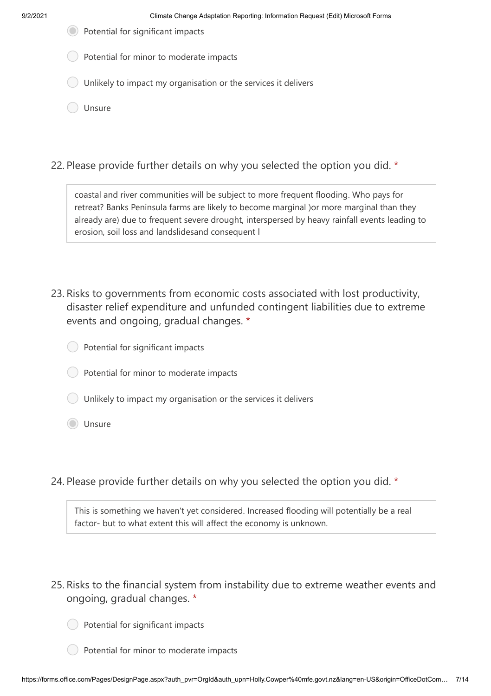- Potential for significant impacts
- Potential for minor to moderate impacts
- Unlikely to impact my organisation or the services it delivers
- Unsure
- 22. Please provide further details on why you selected the option you did. \*

coastal and river communities will be subject to more frequent flooding. Who pays for retreat? Banks Peninsula farms are likely to become marginal )or more marginal than they already are) due to frequent severe drought, interspersed by heavy rainfall events leading to erosion, soil loss and landslidesand consequent l

- 23. Risks to governments from economic costs associated with lost productivity, disaster relief expenditure and unfunded contingent liabilities due to extreme events and ongoing, gradual changes. \*
	- Potential for significant impacts
	- Potential for minor to moderate impacts
	- Unlikely to impact my organisation or the services it delivers
	- Unsure
- 24. Please provide further details on why you selected the option you did. \*

This is something we haven't yet considered. Increased flooding will potentially be a real factor- but to what extent this will affect the economy is unknown.

- 25. Risks to the financial system from instability due to extreme weather events and ongoing, gradual changes. \*
	- Potential for significant impacts
	- Potential for minor to moderate impacts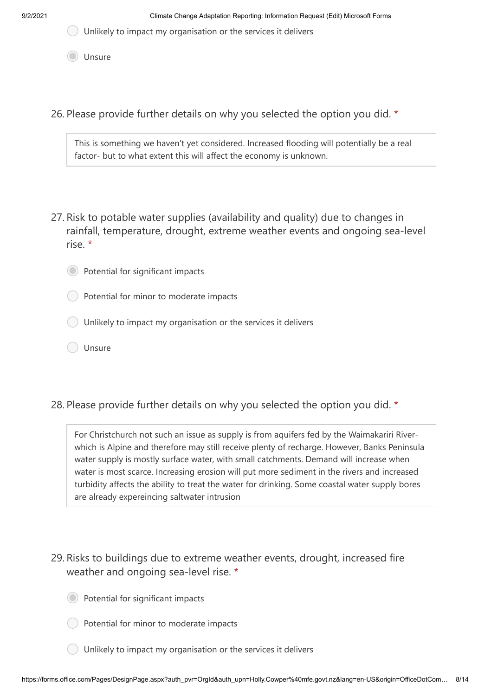$\bigcup$  Unlikely to impact my organisation or the services it delivers

Unsure

26. Please provide further details on why you selected the option you did. \*

This is something we haven't yet considered. Increased flooding will potentially be a real factor- but to what extent this will affect the economy is unknown.

- 27. Risk to potable water supplies (availability and quality) due to changes in rainfall, temperature, drought, extreme weather events and ongoing sea-level rise. \*
	- Potential for significant impacts
		- Potential for minor to moderate impacts
	- Unlikely to impact my organisation or the services it delivers
	- Unsure
- 28. Please provide further details on why you selected the option you did. \*

For Christchurch not such an issue as supply is from aquifers fed by the Waimakariri Riverwhich is Alpine and therefore may still receive plenty of recharge. However, Banks Peninsula water supply is mostly surface water, with small catchments. Demand will increase when water is most scarce. Increasing erosion will put more sediment in the rivers and increased turbidity affects the ability to treat the water for drinking. Some coastal water supply bores are already expereincing saltwater intrusion

- 29. Risks to buildings due to extreme weather events, drought, increased fire weather and ongoing sea-level rise. \*
	- Potential for significant impacts
	- Potential for minor to moderate impacts
	- Unlikely to impact my organisation or the services it delivers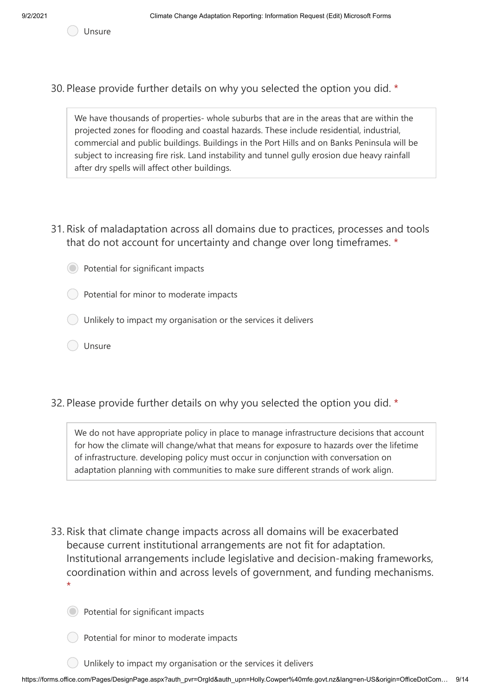Unsure

30. Please provide further details on why you selected the option you did. \*

We have thousands of properties- whole suburbs that are in the areas that are within the projected zones for flooding and coastal hazards. These include residential, industrial, commercial and public buildings. Buildings in the Port Hills and on Banks Peninsula will be subject to increasing fire risk. Land instability and tunnel gully erosion due heavy rainfall after dry spells will affect other buildings.

31. Risk of maladaptation across all domains due to practices, processes and tools that do not account for uncertainty and change over long timeframes. \*

Potential for significant impacts

Potential for minor to moderate impacts

Unlikely to impact my organisation or the services it delivers

- Unsure
- 32. Please provide further details on why you selected the option you did. \*

We do not have appropriate policy in place to manage infrastructure decisions that account for how the climate will change/what that means for exposure to hazards over the lifetime of infrastructure. developing policy must occur in conjunction with conversation on adaptation planning with communities to make sure different strands of work align.

- 33. Risk that climate change impacts across all domains will be exacerbated because current institutional arrangements are not fit for adaptation. Institutional arrangements include legislative and decision-making frameworks, coordination within and across levels of government, and funding mechanisms. \*
	- Potential for significant impacts
	- Potential for minor to moderate impacts
	- Unlikely to impact my organisation or the services it delivers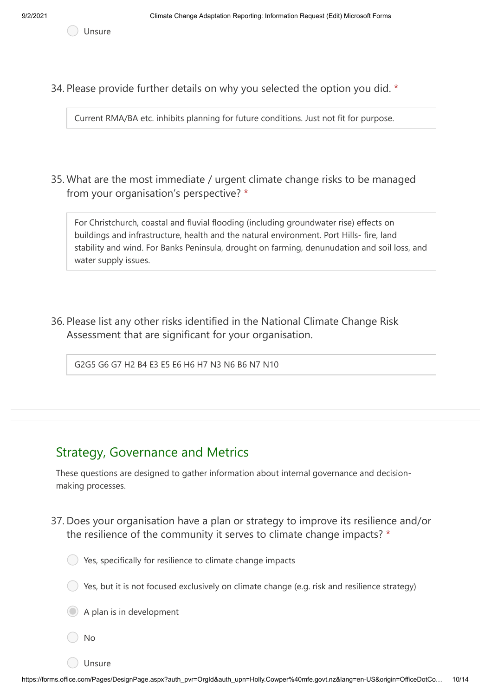Unsure

34. Please provide further details on why you selected the option you did. \*

Current RMA/BA etc. inhibits planning for future conditions. Just not fit for purpose.

35. What are the most immediate / urgent climate change risks to be managed from your organisation's perspective? \*

For Christchurch, coastal and fluvial flooding (including groundwater rise) effects on buildings and infrastructure, health and the natural environment. Port Hills- fire, land stability and wind. For Banks Peninsula, drought on farming, denunudation and soil loss, and water supply issues.

36. Please list any other risks identified in the National Climate Change Risk Assessment that are significant for your organisation.

G2G5 G6 G7 H2 B4 E3 E5 E6 H6 H7 N3 N6 B6 N7 N10

## Strategy, Governance and Metrics

These questions are designed to gather information about internal governance and decisionmaking processes.

37. Does your organisation have a plan or strategy to improve its resilience and/or the resilience of the community it serves to climate change impacts? \*



- $\bigcirc$  Yes, but it is not focused exclusively on climate change (e.g. risk and resilience strategy)
- A plan is in development
- No
- Unsure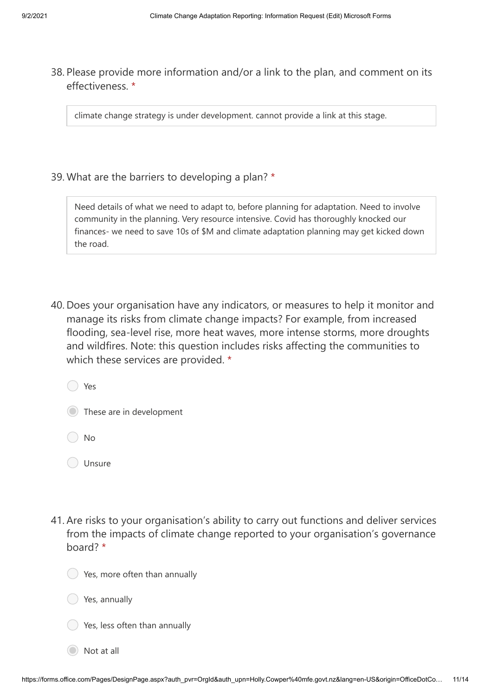38. Please provide more information and/or a link to the plan, and comment on its effectiveness. \*

climate change strategy is under development. cannot provide a link at this stage.

39. What are the barriers to developing a plan? \*

Need details of what we need to adapt to, before planning for adaptation. Need to involve community in the planning. Very resource intensive. Covid has thoroughly knocked our finances- we need to save 10s of \$M and climate adaptation planning may get kicked down the road.

40. Does your organisation have any indicators, or measures to help it monitor and manage its risks from climate change impacts? For example, from increased flooding, sea-level rise, more heat waves, more intense storms, more droughts and wildfires. Note: this question includes risks affecting the communities to which these services are provided. \*

Yes

|  |  | These are in development |
|--|--|--------------------------|
|  |  |                          |

◯ No

41. Are risks to your organisation's ability to carry out functions and deliver services from the impacts of climate change reported to your organisation's governance board? \*



Yes, annually

Yes, less often than annually

Not at all

O Unsure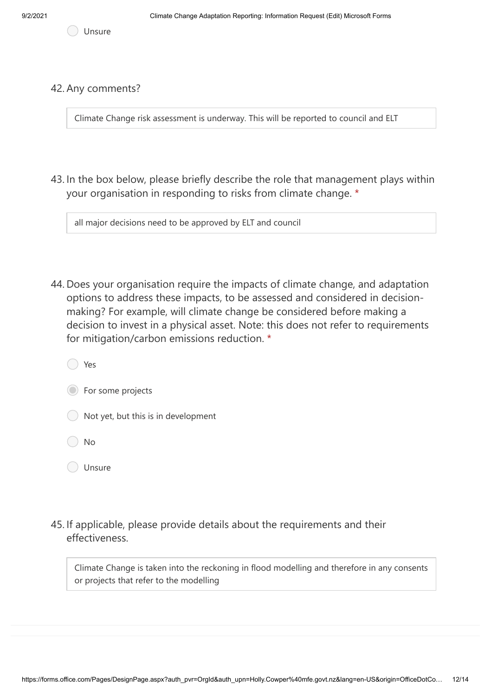Unsure

#### 42. Any comments?

Climate Change risk assessment is underway. This will be reported to council and ELT

43. In the box below, please briefly describe the role that management plays within your organisation in responding to risks from climate change. \*

all major decisions need to be approved by ELT and council

44. Does your organisation require the impacts of climate change, and adaptation options to address these impacts, to be assessed and considered in decisionmaking? For example, will climate change be considered before making a decision to invest in a physical asset. Note: this does not refer to requirements for mitigation/carbon emissions reduction. \*

Yes

**Solution** For some projects

Not yet, but this is in development

No

- Unsure
- 45. If applicable, please provide details about the requirements and their effectiveness.

Climate Change is taken into the reckoning in flood modelling and therefore in any consents or projects that refer to the modelling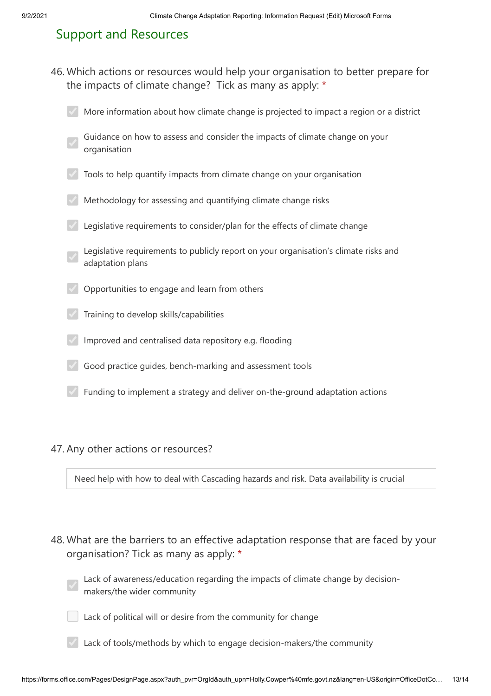## Support and Resources

Which actions or resources would help your organisation to better prepare for 46. the impacts of climate change? Tick as many as apply: \*

| More information about how climate change is projected to impact a region or a district |  |  |  |  |
|-----------------------------------------------------------------------------------------|--|--|--|--|
|                                                                                         |  |  |  |  |

- Guidance on how to assess and consider the impacts of climate change on your organisation
- $\sqrt{ }$  Tools to help quantify impacts from climate change on your organisation
- Methodology for assessing and quantifying climate change risks
- Legislative requirements to consider/plan for the effects of climate change
- Legislative requirements to publicly report on your organisation's climate risks and adaptation plans
- Opportunities to engage and learn from others
- Training to develop skills/capabilities
- Improved and centralised data repository e.g. flooding
- Good practice guides, bench-marking and assessment tools
- Funding to implement a strategy and deliver on-the-ground adaptation actions

#### 47. Any other actions or resources?

Need help with how to deal with Cascading hazards and risk. Data availability is crucial

- 48. What are the barriers to an effective adaptation response that are faced by your organisation? Tick as many as apply: \*
	- Lack of awareness/education regarding the impacts of climate change by decisionmakers/the wider community
	- Lack of political will or desire from the community for change
	- Lack of tools/methods by which to engage decision-makers/the community